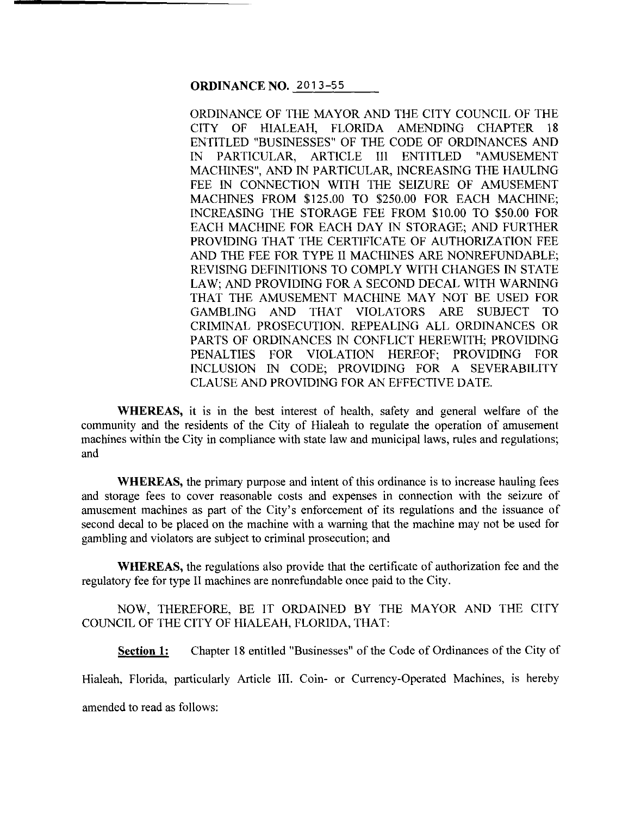**ORDINANCE NO.** 2013-55

ORDINANCE OF THE MAYOR AND THE CITY COUNCIL OF THE CITY OF HIALEAH, FLORIDA AMENDING CHAPTER 18 ENTITLED "BUSINESSES" OF THE CODE OF ORDINANCES AND IN PARTICULAR, ARTICLE III ENTITLED "AMUSEMENT MACHINES", AND IN PARTICULAR, INCREASING THE HAULING FEE IN CONNECTION WITH THE SEIZURE OF AMUSEMENT MACHINES FROM \$125.00 TO \$250.00 FOR EACH MACHINE; INCREASING THE STORAGE FEE FROM \$10.00 TO \$50.00 FOR EACH MACHINE FOR EACH DAY IN STORAGE; AND FURTHER PROVIDING THAT THE CERTIFICATE OF AUTHORIZATION FEE AND THE FEE FOR TYPE II MACHINES ARE NONREFUNDABLE; REVISING DEFINITIONS TO COMPLY WITH CHANGES IN STATE LAW; AND PROVIDING FOR A SECOND DECAL WITH WARNING THAT THE AMUSEMENT MACHINE MAY NOT BE USED FOR GAMBLING AND THAT VIOLATORS ARE SUBJECT TO CRIMINAL PROSECUTION. REPEALING ALL ORDINANCES OR PARTS OF ORDINANCES IN CONFLICT HEREWITH; PROVIDING PENALTIES FOR VIOLATION HEREOF; PROVIDING FOR INCLUSION IN CODE; PROVIDING FOR A SEVERABILITY CLAUSE AND PROVIDING FOR AN EFFECTIVE DATE.

**WHEREAS,** it is in the best interest of health, safety and general welfare of the community and the residents of the City of Hialeah to regulate the operation of amusement machines within the City in compliance with state law and municipal laws, rules and regulations; and

**WHEREAS,** the primary purpose and intent of this ordinance is to increase hauling fees and storage fees to cover reasonable costs and expenses in connection with the seizure of amusement machines as part of the City's enforcement of its regulations and the issuance of second decal to be placed on the machine with a warning that the machine may not be used for gambling and violators are subject to criminal prosecution; and

**WHEREAS,** the regulations also provide that the certificate of authorization fee and the regulatory fee for type II machines are nonrefundable once paid to the City.

NOW, THEREFORE, BE IT ORDAINED BY THE MAYOR AND THE CITY COUNCIL OF THE CITY OF HIALEAH, FLORIDA, THAT:

**Section 1:** Chapter 18 entitled "Businesses" of the Code of Ordinances of the City of Hialeah, Florida, particularly Article III. Coin- or Currency-Operated Machines, is hereby amended to read as follows: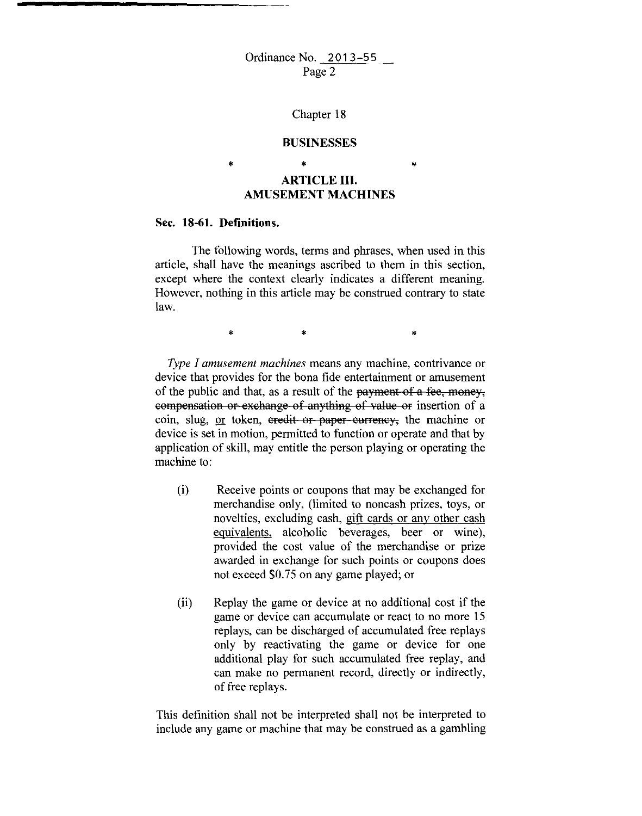#### Chapter 18

#### **BUSINESSES**

\*

# \* **ARTICLE III. AMUSEMENT MACHINES**

#### **Sec. 18-61. Definitions.**

\*

The following words, terms and phrases, when used in this article, shall have the meanings ascribed to them in this section, except where the context clearly indicates a different meaning. However, nothing in this article may be construed contrary to state law.

 $*$  \*  $*$  \*

*Type I amusement machines* means any machine, contrivance or device that provides for the bona fide entertainment or amusement of the public and that, as a result of the payment of a fee, money, eompensation or exchange of anything of value or insertion of a coin, slug, or token, eredit or paper eurrency, the machine or device is set in motion, permitted to function or operate and that by application of skill, may entitle the person playing or operating the machine to:

- (i) Receive points or coupons that may be exchanged for merchandise only, (limited to noncash prizes, toys, or novelties, excluding cash, gift cards or any other cash equivalents, alcoholic beverages, beer or wine), provided the cost value of the merchandise or prize awarded in exchange for such points or coupons does not exceed \$0.75 on any game played; or
- (ii) Replay the game or device at no additional cost if the game or device can accumulate or react to no more 15 replays, can be discharged of accumulated free replays only by reactivating the game or device for one additional play for such accumulated free replay, and can make no permanent record, directly or indirectly, of free replays.

This definition shall not be interpreted shall not be interpreted to include any game or machine that may be construed as a gambling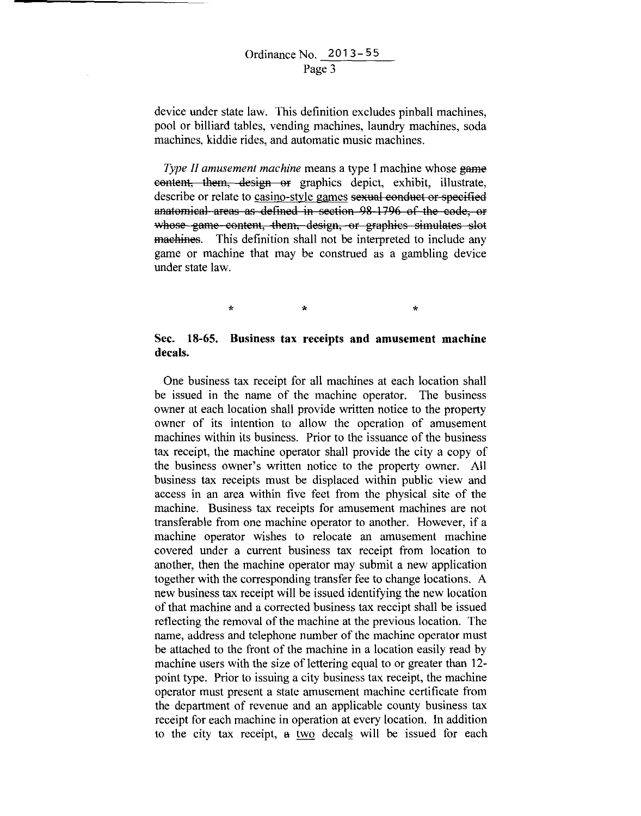device under state law. This definition excludes pinball machines, pool or billiard tables, vending machines, laundry machines, soda machines, kiddie rides, and automatic music machines.

*Type II amusement machine* means a type I machine whose game eentent, them, design or graphics depict, exhibit, illustrate, describe or relate to casino-style games sexual conduct or specified anatomical areas as defined in section 98-1796 of the code, or whose game content, them, design, or graphics simulates slot maehines. This definition shall not be interpreted to include any game or machine that may be construed as a gambling device under state law.

 $\star$   $\star$   $\star$ 

### **Sec. 18-65. Business tax receipts and amusement machine decals.**

One business tax receipt for all machines at each location shall be issued in the name of the machine operator. The business owner at each location shall provide written notice to the property owner of its intention to allow the operation of amusement machines within its business. Prior to the issuance of the business tax receipt, the machine operator shall provide the city a copy of the business owner's written notice to the property owner. All business tax receipts must be displaced within public view and access in an area within five feet from the physical site of the machine. Business tax receipts for amusement machines are not transferable from one machine operator to another. However, if a machine operator wishes to relocate an amusement machine covered under a current business tax receipt from location to another, then the machine operator may submit a new application together with the corresponding transfer fee to change locations. A new business tax receipt will be issued identifying the new location of that machine and a corrected business tax receipt shall be issued reflecting the removal of the machine at the previous location. The name, address and telephone number of the machine operator must be attached to the front of the machine in a location easily read by machine users with the size of lettering equal to or greater than 12 point type. Prior to issuing a city business tax receipt, the machine operator must present a state amusement machine certificate from the department of revenue and an applicable county business tax receipt for each machine in operation at every location. In addition to the city tax receipt, a two decals will be issued for each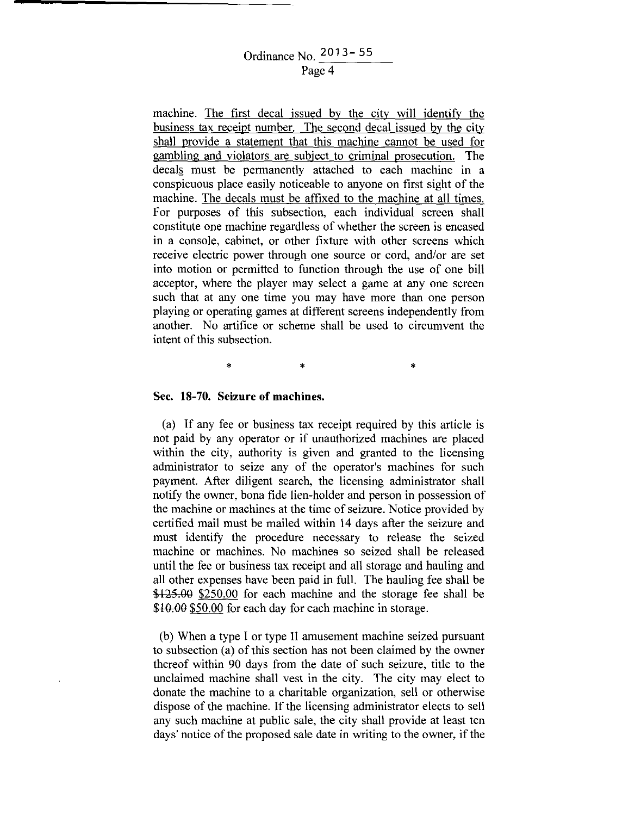# Ordinance No. 2013 - 55 Page 4

machine. The first decal issued by the city will identify the business tax receipt number. The second decal issued by the city shall provide a statement that this machine cannot be used for gambling and violators are subject to criminal prosecution. The decals must be permanently attached to each machine in a conspicuous place easily noticeable to anyone on first sight of the machine. The decals must be affixed to the machine at all times. For purposes of this subsection, each individual screen shall constitute one machine regardless of whether the screen is encased in a console, cabinet, or other fixture with other screens which receive electric power through one source or cord, and/or are set into motion or permitted to function through the use of one bill acceptor, where the player may select a game at any one screen such that at any one time you may have more than one person playing or operating games at different screens independently from another. No artifice or scheme shall be used to circumvent the intent of this subsection.

 $\ast$   $\ast$   $\ast$ 

#### **Sec. 18-70. Seizure of machines.**

(a) If any fee or business tax receipt required by this article is not paid by any operator or if unauthorized machines are placed within the city, authority is given and granted to the licensing administrator to seize any of the operator's machines for such payment. After diligent search, the licensing administrator shall notify the owner, bona fide lien-holder and person in possession of the machine or machines at the time of seizure. Notice provided by certified mail must be mailed within 14 days after the seizure and must identify the procedure necessary to release the seized machine or machines. No machines so seized shall be released until the fee or business tax receipt and all storage and hauling and all other expenses have been paid in full. The hauling fee shall be \$125.00 \$250.00 for each machine and the storage fee shall be \$10.00 \$50.00 for each day for each machine in storage.

(b) When a type I or type II amusement machine seized pursuant to subsection (a) of this section has not been claimed by the owner thereof within 90 days from the date of such seizure, title to the unclaimed machine shall vest in the city. The city may elect to donate the machine to a charitable organization, sell or otherwise dispose of the machine. If the licensing administrator elects to sell any such machine at public sale, the city shall provide at least ten days' notice of the proposed sale date in writing to the owner, if the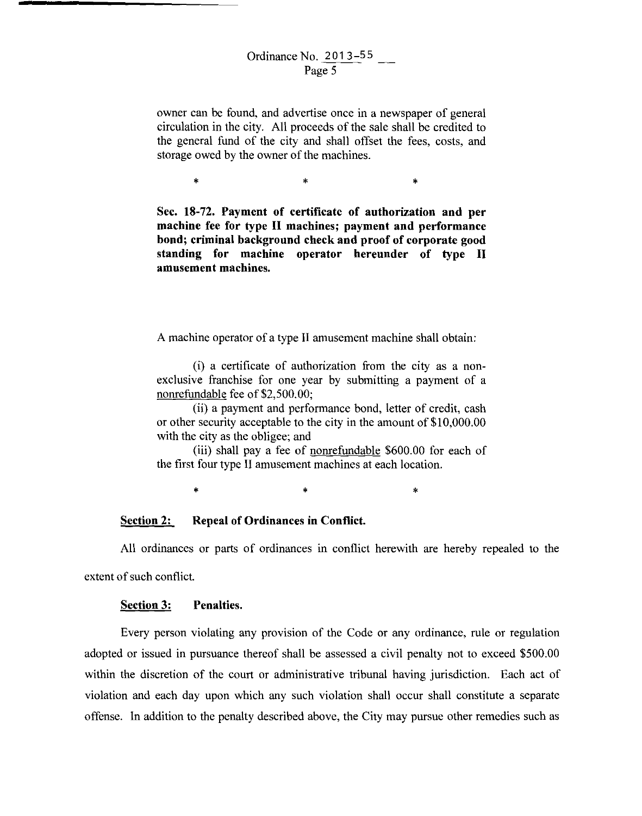owner can be found, and advertise once in a newspaper of general circulation in the city. All proceeds of the sale shall be credited to the general fund of the city and shall offset the fees, costs, and storage owed by the owner of the machines.

 $\begin{matrix} * & * \end{matrix}$ 

**Sec. 18-72. Payment of certificate of authorization and per machine fee for type II machines; payment and performance bond; criminal background check and proof of corporate good standing for machine operator hereunder of type II amusement machines.** 

A machine operator of a type II amusement machine shall obtain:

(i) a certificate of authorization from the city as a nonexclusive franchise for one year by submitting a payment of a nonrefundable fee of \$2,500.00;

(ii) a payment and performance bond, letter of credit, cash or other security acceptable to the city in the amount of \$10,000.00 with the city as the obligee; and

(iii) shall pay a fee of nonrefundable \$600.00 for each of the first four type II amusement machines at each location.

 $\ddot{x}$  \*  $\ddot{x}$ 

### **Section 2: Repeal of Ordinances in Conflict.**

All ordinances or parts of ordinances in conflict herewith are hereby repealed to the extent of such conflict.

### **Section 3: Penalties.**

Every person violating any provision of the Code or any ordinance, rule or regulation adopted or issued in pursuance thereof shall be assessed a civil penalty not to exceed \$500.00 within the discretion of the court or administrative tribunal having jurisdiction. Each act of violation and each day upon which any such violation shall occur shall constitute a separate offense. ln addition to the penalty described above, the City may pursue other remedies such as